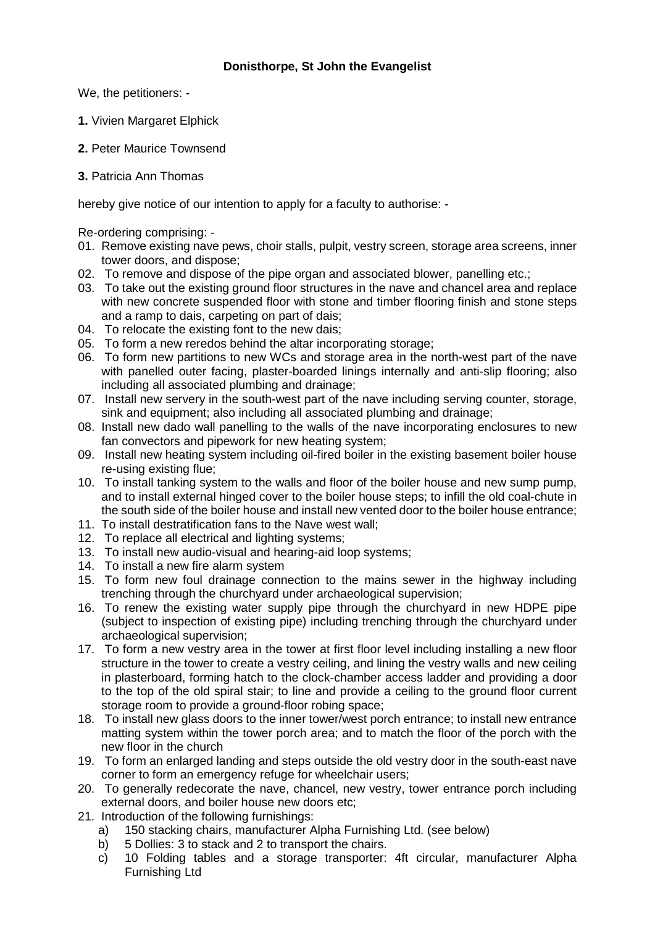We, the petitioners: -

- **1.** Vivien Margaret Elphick
- **2.** Peter Maurice Townsend
- **3.** Patricia Ann Thomas

hereby give notice of our intention to apply for a faculty to authorise: -

Re-ordering comprising: -

- 01. Remove existing nave pews, choir stalls, pulpit, vestry screen, storage area screens, inner tower doors, and dispose;
- 02. To remove and dispose of the pipe organ and associated blower, panelling etc.;
- 03. To take out the existing ground floor structures in the nave and chancel area and replace with new concrete suspended floor with stone and timber flooring finish and stone steps and a ramp to dais, carpeting on part of dais;
- 04. To relocate the existing font to the new dais;
- 05. To form a new reredos behind the altar incorporating storage;
- 06. To form new partitions to new WCs and storage area in the north-west part of the nave with panelled outer facing, plaster-boarded linings internally and anti-slip flooring; also including all associated plumbing and drainage;
- 07. Install new servery in the south-west part of the nave including serving counter, storage, sink and equipment; also including all associated plumbing and drainage;
- 08. Install new dado wall panelling to the walls of the nave incorporating enclosures to new fan convectors and pipework for new heating system;
- 09. Install new heating system including oil-fired boiler in the existing basement boiler house re-using existing flue;
- 10. To install tanking system to the walls and floor of the boiler house and new sump pump, and to install external hinged cover to the boiler house steps; to infill the old coal-chute in the south side of the boiler house and install new vented door to the boiler house entrance;
- 11. To install destratification fans to the Nave west wall;
- 12. To replace all electrical and lighting systems;
- 13. To install new audio-visual and hearing-aid loop systems;
- 14. To install a new fire alarm system
- 15. To form new foul drainage connection to the mains sewer in the highway including trenching through the churchyard under archaeological supervision;
- 16. To renew the existing water supply pipe through the churchyard in new HDPE pipe (subject to inspection of existing pipe) including trenching through the churchyard under archaeological supervision;
- 17. To form a new vestry area in the tower at first floor level including installing a new floor structure in the tower to create a vestry ceiling, and lining the vestry walls and new ceiling in plasterboard, forming hatch to the clock-chamber access ladder and providing a door to the top of the old spiral stair; to line and provide a ceiling to the ground floor current storage room to provide a ground-floor robing space;
- 18. To install new glass doors to the inner tower/west porch entrance; to install new entrance matting system within the tower porch area; and to match the floor of the porch with the new floor in the church
- 19. To form an enlarged landing and steps outside the old vestry door in the south-east nave corner to form an emergency refuge for wheelchair users;
- 20. To generally redecorate the nave, chancel, new vestry, tower entrance porch including external doors, and boiler house new doors etc;
- 21. Introduction of the following furnishings:
	- a) 150 stacking chairs, manufacturer Alpha Furnishing Ltd. (see below)
	- b) 5 Dollies: 3 to stack and 2 to transport the chairs.
	- c) 10 Folding tables and a storage transporter: 4ft circular, manufacturer Alpha Furnishing Ltd